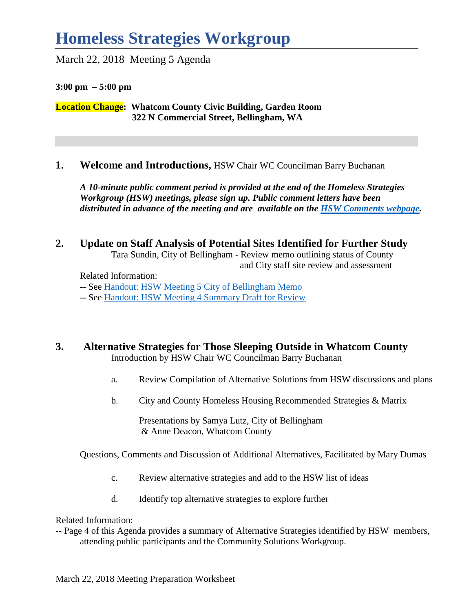## **Homeless Strategies Workgroup**

March 22, 2018 Meeting 5 Agenda

**3:00 pm – 5:00 pm**

**Location Change: Whatcom County Civic Building, Garden Room 322 N Commercial Street, Bellingham, WA** 

#### **1. Welcome and Introductions,** HSW Chair WC Councilman Barry Buchanan

*A 10-minute public comment period is provided at the end of the Homeless Strategies Workgroup (HSW) meetings, please sign up. Public comment letters have been distributed in advance of the meeting and are available on the [HSW Comments webpage.](http://www.co.whatcom.wa.us/2792/Comments)* 

#### **2. Update on Staff Analysis of Potential Sites Identified for Further Study**

Tara Sundin, City of Bellingham - Review memo outlining status of County and City staff site review and assessment

Related Information:

*--* See [Handout: HSW Meeting 5 City of Bellingham Memo](http://www.co.whatcom.wa.us/2748/Homeless-Strategies-Workgroup-Meeting-In)

*--* See [Handout: HSW Meeting 4 Summary Draft for Review](http://www.co.whatcom.wa.us/2748/Homeless-Strategies-Workgroup-Meeting-In)

#### **3. Alternative Strategies for Those Sleeping Outside in Whatcom County** Introduction by HSW Chair WC Councilman Barry Buchanan

- a. Review Compilation of Alternative Solutions from HSW discussions and plans
- b. City and County Homeless Housing Recommended Strategies & Matrix

Presentations by Samya Lutz, City of Bellingham & Anne Deacon, Whatcom County

Questions, Comments and Discussion of Additional Alternatives, Facilitated by Mary Dumas

- c. Review alternative strategies and add to the HSW list of ideas
- d. Identify top alternative strategies to explore further

Related Information:

-- Page 4 of this Agenda provides a summary of Alternative Strategies identified by HSW members, attending public participants and the Community Solutions Workgroup.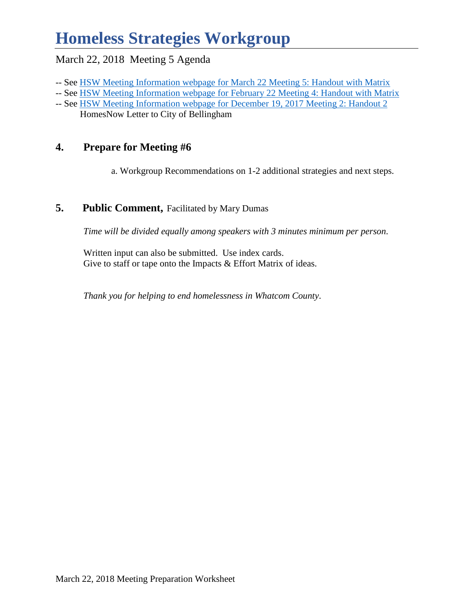## **Homeless Strategies Workgroup**

#### March 22, 2018 Meeting 5 Agenda

- -- See [HSW Meeting Information webpage for March 22](http://www.co.whatcom.wa.us/2748/Homeless-Strategies-Workgroup-Meeting-In) Meeting 5: Handout with Matrix
- -- See [HSW Meeting Information webpage for February 22](http://www.co.whatcom.wa.us/2748/Homeless-Strategies-Workgroup-Meeting-In) Meeting 4: Handout with Matrix
- -- See [HSW Meeting Information webpage for December 19, 2017 Meeting 2: Handout 2](http://www.co.whatcom.wa.us/2748/Homeless-Strategies-Workgroup-Meeting-In) HomesNow Letter to City of Bellingham

### **4. Prepare for Meeting #6**

a. Workgroup Recommendations on 1-2 additional strategies and next steps.

#### **5.** Public Comment, Facilitated by Mary Dumas

*Time will be divided equally among speakers with 3 minutes minimum per person.* 

Written input can also be submitted. Use index cards. Give to staff or tape onto the Impacts & Effort Matrix of ideas.

*Thank you for helping to end homelessness in Whatcom County*.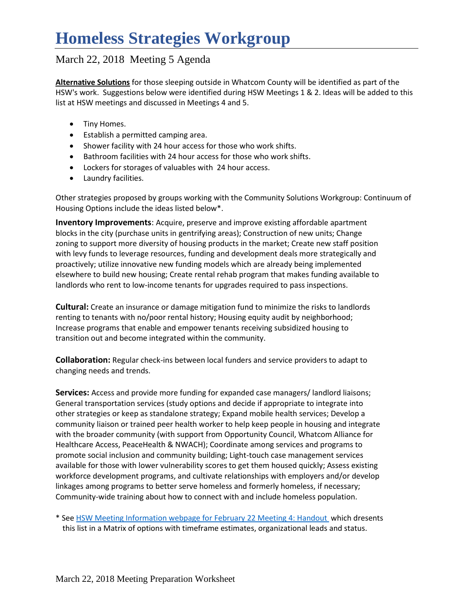### March 22, 2018 Meeting 5 Agenda

**Alternative Solutions** for those sleeping outside in Whatcom County will be identified as part of the HSW's work. Suggestions below were identified during HSW Meetings 1 & 2. Ideas will be added to this list at HSW meetings and discussed in Meetings 4 and 5.

- Tiny Homes.
- Establish a permitted camping area.
- Shower facility with 24 hour access for those who work shifts.
- Bathroom facilities with 24 hour access for those who work shifts.
- Lockers for storages of valuables with 24 hour access.
- Laundry facilities.

Other strategies proposed by groups working with the Community Solutions Workgroup: Continuum of Housing Options include the ideas listed below\*.

**Inventory Improvements**: Acquire, preserve and improve existing affordable apartment blocks in the city (purchase units in gentrifying areas); Construction of new units; Change zoning to support more diversity of housing products in the market; Create new staff position with levy funds to leverage resources, funding and development deals more strategically and proactively; utilize innovative new funding models which are already being implemented elsewhere to build new housing; Create rental rehab program that makes funding available to landlords who rent to low-income tenants for upgrades required to pass inspections.

**Cultural:** Create an insurance or damage mitigation fund to minimize the risks to landlords renting to tenants with no/poor rental history; Housing equity audit by neighborhood; Increase programs that enable and empower tenants receiving subsidized housing to transition out and become integrated within the community.

**Collaboration:** Regular check-ins between local funders and service providers to adapt to changing needs and trends.

**Services:** Access and provide more funding for expanded case managers/ landlord liaisons; General transportation services (study options and decide if appropriate to integrate into other strategies or keep as standalone strategy; Expand mobile health services; Develop a community liaison or trained peer health worker to help keep people in housing and integrate with the broader community (with support from Opportunity Council, Whatcom Alliance for Healthcare Access, PeaceHealth & NWACH); Coordinate among services and programs to promote social inclusion and community building; Light-touch case management services available for those with lower vulnerability scores to get them housed quickly; Assess existing workforce development programs, and cultivate relationships with employers and/or develop linkages among programs to better serve homeless and formerly homeless, if necessary; Community-wide training about how to connect with and include homeless population.

\* Se[e HSW Meeting Information webpage for February](http://www.co.whatcom.wa.us/2748/Homeless-Strategies-Workgroup-Meeting-In) 22 Meeting 4: Handout which dresents this list in a Matrix of options with timeframe estimates, organizational leads and status.